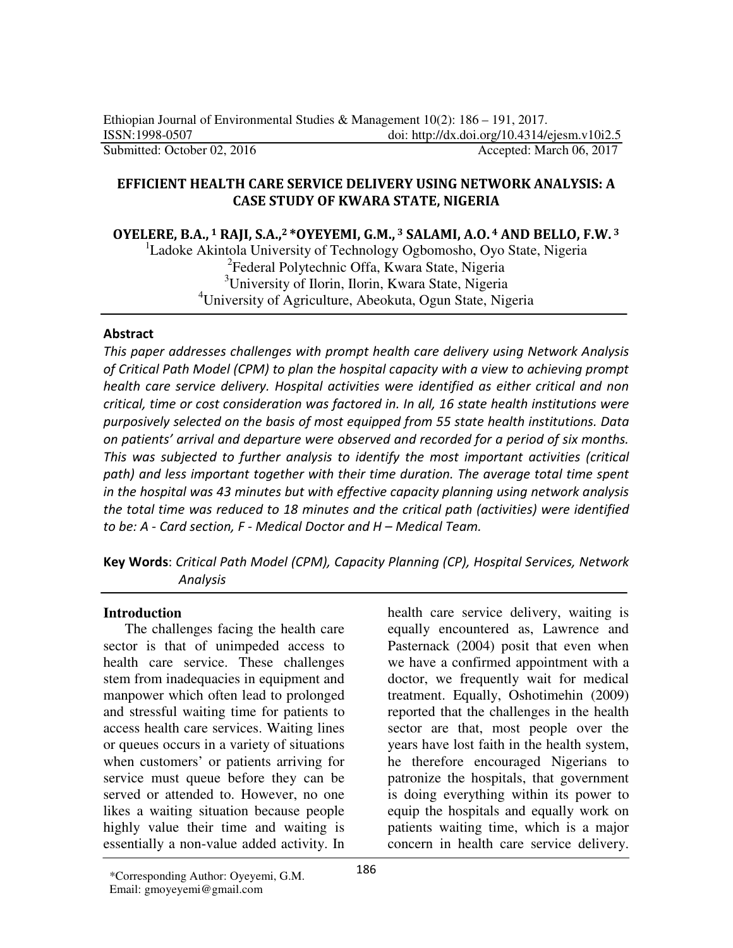# **EFFICIENT HEALTH CARE SERVICE DELIVERY USING NETWORK ANALYSIS: A CASE STUDY OF KWARA STATE, NIGERIA**

**OYELERE, B.A., 1 RAJI, S.A.,2 \*OYEYEMI, G.M., 3 SALAMI, A.O. 4 AND BELLO, F.W.<sup>3</sup>**

<sup>1</sup>Ladoke Akintola University of Technology Ogbomosho, Oyo State, Nigeria 2 Federal Polytechnic Offa, Kwara State, Nigeria <sup>3</sup>University of Ilorin, Ilorin, Kwara State, Nigeria <sup>4</sup>University of Agriculture, Abeokuta, Ogun State, Nigeria

### **Abstract**

*This paper addresses challenges with prompt health care delivery using Network Analysis of Critical Path Model (CPM) to plan the hospital capacity with a view to achieving prompt health care service delivery. Hospital activities were identified as either critical and non critical, time or cost consideration was factored in. In all, 16 state health institutions were purposively selected on the basis of most equipped from 55 state health institutions. Data on patients' arrival and departure were observed and recorded for a period of six months. This was subjected to further analysis to identify the most important activities (critical path) and less important together with their time duration. The average total time spent in the hospital was 43 minutes but with effective capacity planning using network analysis the total time was reduced to 18 minutes and the critical path (activities) were identified to be: A - Card section, F - Medical Doctor and H – Medical Team.* 

**Key Words**: *Critical Path Model (CPM), Capacity Planning (CP), Hospital Services, Network Analysis* 

#### **Introduction**

The challenges facing the health care sector is that of unimpeded access to health care service. These challenges stem from inadequacies in equipment and manpower which often lead to prolonged and stressful waiting time for patients to access health care services. Waiting lines or queues occurs in a variety of situations when customers' or patients arriving for service must queue before they can be served or attended to. However, no one likes a waiting situation because people highly value their time and waiting is essentially a non-value added activity. In

health care service delivery, waiting is equally encountered as, Lawrence and Pasternack (2004) posit that even when we have a confirmed appointment with a doctor, we frequently wait for medical treatment. Equally, Oshotimehin (2009) reported that the challenges in the health sector are that, most people over the years have lost faith in the health system, he therefore encouraged Nigerians to patronize the hospitals, that government is doing everything within its power to equip the hospitals and equally work on patients waiting time, which is a major concern in health care service delivery.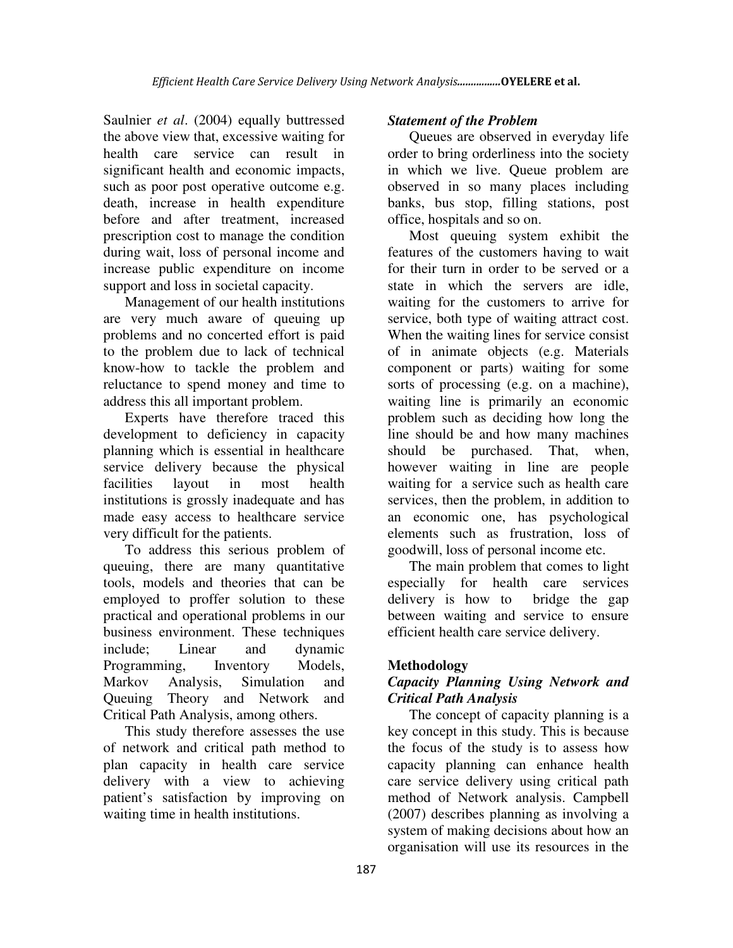Saulnier *et al*. (2004) equally buttressed the above view that, excessive waiting for health care service can result in significant health and economic impacts, such as poor post operative outcome e.g. death, increase in health expenditure before and after treatment, increased prescription cost to manage the condition during wait, loss of personal income and increase public expenditure on income support and loss in societal capacity.

Management of our health institutions are very much aware of queuing up problems and no concerted effort is paid to the problem due to lack of technical know-how to tackle the problem and reluctance to spend money and time to address this all important problem.

Experts have therefore traced this development to deficiency in capacity planning which is essential in healthcare service delivery because the physical facilities layout in most health institutions is grossly inadequate and has made easy access to healthcare service very difficult for the patients.

To address this serious problem of queuing, there are many quantitative tools, models and theories that can be employed to proffer solution to these practical and operational problems in our business environment. These techniques include; Linear and dynamic Programming, Inventory Models, Markov Analysis, Simulation and Queuing Theory and Network and Critical Path Analysis, among others.

This study therefore assesses the use of network and critical path method to plan capacity in health care service delivery with a view to achieving patient's satisfaction by improving on waiting time in health institutions.

#### *Statement of the Problem*

Queues are observed in everyday life order to bring orderliness into the society in which we live. Queue problem are observed in so many places including banks, bus stop, filling stations, post office, hospitals and so on.

Most queuing system exhibit the features of the customers having to wait for their turn in order to be served or a state in which the servers are idle, waiting for the customers to arrive for service, both type of waiting attract cost. When the waiting lines for service consist of in animate objects (e.g. Materials component or parts) waiting for some sorts of processing (e.g. on a machine), waiting line is primarily an economic problem such as deciding how long the line should be and how many machines should be purchased. That, when, however waiting in line are people waiting for a service such as health care services, then the problem, in addition to an economic one, has psychological elements such as frustration, loss of goodwill, loss of personal income etc.

The main problem that comes to light especially for health care services delivery is how to bridge the gap between waiting and service to ensure efficient health care service delivery.

### **Methodology**

# *Capacity Planning Using Network and Critical Path Analysis*

The concept of capacity planning is a key concept in this study. This is because the focus of the study is to assess how capacity planning can enhance health care service delivery using critical path method of Network analysis. Campbell (2007) describes planning as involving a system of making decisions about how an organisation will use its resources in the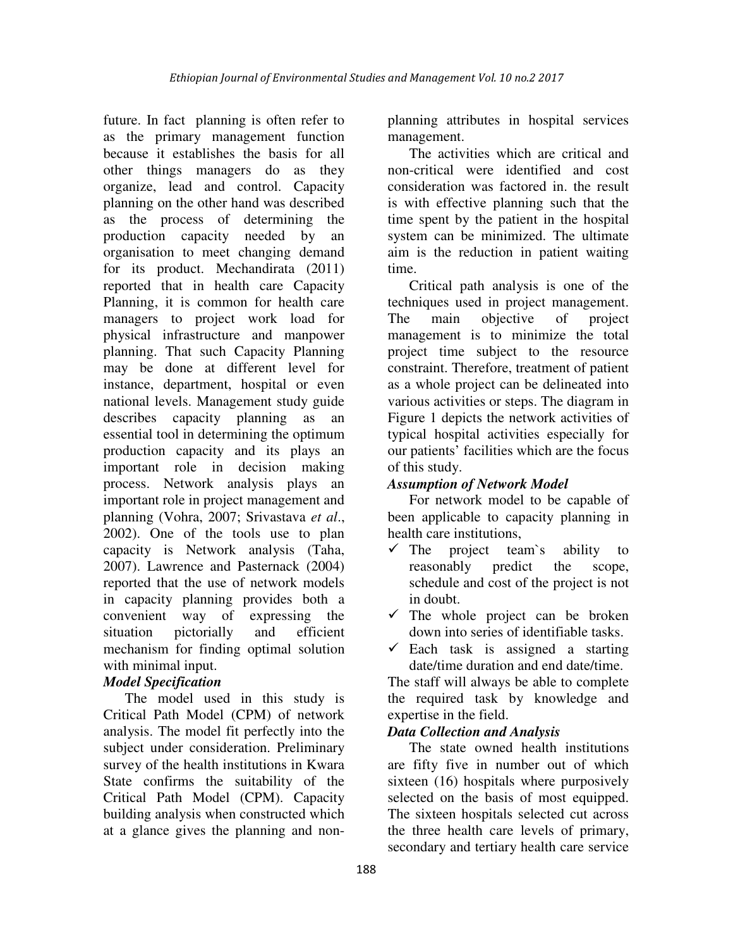future. In fact planning is often refer to as the primary management function because it establishes the basis for all other things managers do as they organize, lead and control. Capacity planning on the other hand was described as the process of determining the production capacity needed by an organisation to meet changing demand for its product. Mechandirata (2011) reported that in health care Capacity Planning, it is common for health care managers to project work load for physical infrastructure and manpower planning. That such Capacity Planning may be done at different level for instance, department, hospital or even national levels. Management study guide describes capacity planning as an essential tool in determining the optimum production capacity and its plays an important role in decision making process. Network analysis plays an important role in project management and planning (Vohra, 2007; Srivastava *et al*., 2002). One of the tools use to plan capacity is Network analysis (Taha, 2007). Lawrence and Pasternack (2004) reported that the use of network models in capacity planning provides both a convenient way of expressing the situation pictorially and efficient mechanism for finding optimal solution with minimal input.

# *Model Specification*

The model used in this study is Critical Path Model (CPM) of network analysis. The model fit perfectly into the subject under consideration. Preliminary survey of the health institutions in Kwara State confirms the suitability of the Critical Path Model (CPM). Capacity building analysis when constructed which at a glance gives the planning and nonplanning attributes in hospital services management.

The activities which are critical and non-critical were identified and cost consideration was factored in. the result is with effective planning such that the time spent by the patient in the hospital system can be minimized. The ultimate aim is the reduction in patient waiting time.

Critical path analysis is one of the techniques used in project management. The main objective of project management is to minimize the total project time subject to the resource constraint. Therefore, treatment of patient as a whole project can be delineated into various activities or steps. The diagram in Figure 1 depicts the network activities of typical hospital activities especially for our patients' facilities which are the focus of this study.

# *Assumption of Network Model*

For network model to be capable of been applicable to capacity planning in health care institutions,

- $\checkmark$  The project team's ability to reasonably predict the scope, schedule and cost of the project is not in doubt.
- $\checkmark$  The whole project can be broken down into series of identifiable tasks.
- $\checkmark$  Each task is assigned a starting date/time duration and end date/time.

The staff will always be able to complete the required task by knowledge and expertise in the field.

# *Data Collection and Analysis*

The state owned health institutions are fifty five in number out of which sixteen (16) hospitals where purposively selected on the basis of most equipped. The sixteen hospitals selected cut across the three health care levels of primary, secondary and tertiary health care service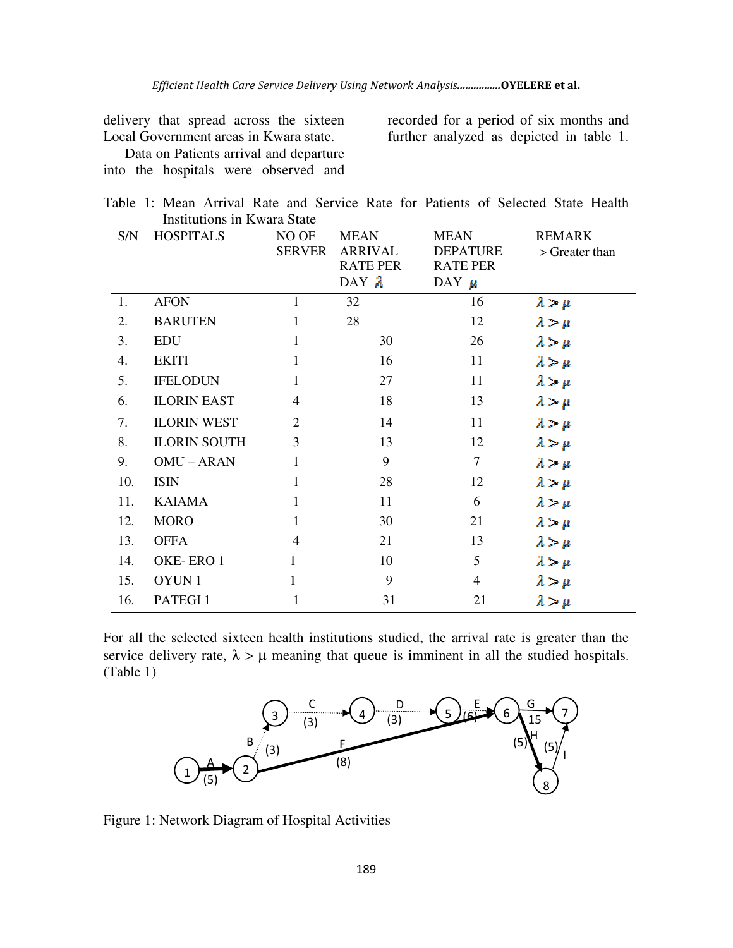delivery that spread across the sixteen Local Government areas in Kwara state.

recorded for a period of six months and further analyzed as depicted in table 1.

Data on Patients arrival and departure into the hospitals were observed and

|                             |  |  |  |  |  |  |  |  | Table 1: Mean Arrival Rate and Service Rate for Patients of Selected State Health |  |
|-----------------------------|--|--|--|--|--|--|--|--|-----------------------------------------------------------------------------------|--|
| Institutions in Kwara State |  |  |  |  |  |  |  |  |                                                                                   |  |

| S/N | <b>HOSPITALS</b>    | NO OF<br><b>SERVER</b> | <b>MEAN</b><br><b>ARRIVAL</b><br><b>RATE PER</b><br>DAY A | <b>MEAN</b><br><b>DEPATURE</b><br><b>RATE PER</b><br>DAY $\mu$ | REMARK<br>> Greater than |
|-----|---------------------|------------------------|-----------------------------------------------------------|----------------------------------------------------------------|--------------------------|
| 1.  | <b>AFON</b>         | $\mathbf{1}$           | 32                                                        | 16                                                             | $\lambda > \mu$          |
| 2.  | <b>BARUTEN</b>      | 1                      | 28                                                        | 12                                                             | $\lambda > \mu$          |
| 3.  | <b>EDU</b>          | $\mathbf{1}$           | 30                                                        | 26                                                             | $\lambda > \mu$          |
| 4.  | <b>EKITI</b>        | 1                      | 16                                                        | 11                                                             | $\lambda > \mu$          |
| 5.  | <b>IFELODUN</b>     | 1                      | 27                                                        | 11                                                             | $\lambda > \mu$          |
| 6.  | <b>ILORIN EAST</b>  | $\overline{4}$         | 18                                                        | 13                                                             | $\lambda > \mu$          |
| 7.  | <b>ILORIN WEST</b>  | $\overline{2}$         | 14                                                        | 11                                                             | $\lambda > \mu$          |
| 8.  | <b>ILORIN SOUTH</b> | 3                      | 13                                                        | 12                                                             | $\lambda > \mu$          |
| 9.  | OMU-ARAN            | $\mathbf{1}$           | 9                                                         | $\tau$                                                         | $\lambda > \mu$          |
| 10. | <b>ISIN</b>         | $\mathbf{1}$           | 28                                                        | 12                                                             | $\lambda > \mu$          |
| 11. | <b>KAIAMA</b>       | 1                      | 11                                                        | 6                                                              | $\lambda > \mu$          |
| 12. | <b>MORO</b>         | 1                      | 30                                                        | 21                                                             | $\lambda > \mu$          |
| 13. | <b>OFFA</b>         | $\overline{4}$         | 21                                                        | 13                                                             | $\lambda > \mu$          |
| 14. | OKE-ERO 1           |                        | 10                                                        | 5                                                              | $\lambda > \mu$          |
| 15. | OYUN1               | 1                      | 9                                                         | 4                                                              | $\lambda > \mu$          |
| 16. | PATEGI <sub>1</sub> | 1                      | 31                                                        | 21                                                             | $\lambda > \mu$          |

For all the selected sixteen health institutions studied, the arrival rate is greater than the service delivery rate,  $\lambda > \mu$  meaning that queue is imminent in all the studied hospitals. (Table 1)



Figure 1: Network Diagram of Hospital Activities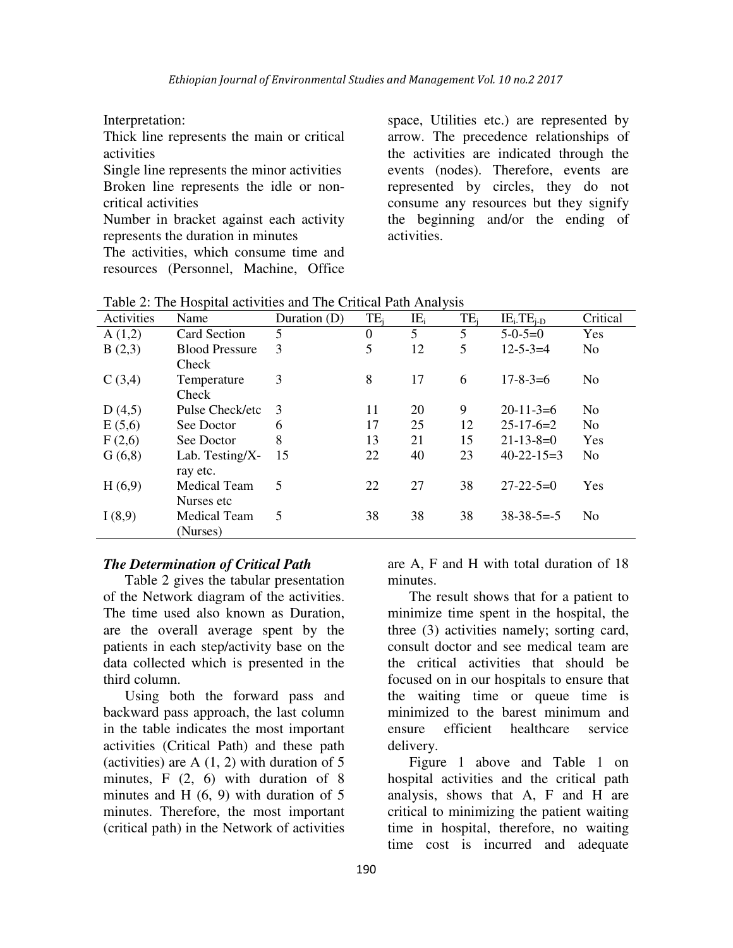Interpretation:

Thick line represents the main or critical activities

Single line represents the minor activities Broken line represents the idle or noncritical activities

Number in bracket against each activity represents the duration in minutes

The activities, which consume time and resources (Personnel, Machine, Office

space, Utilities etc.) are represented by arrow. The precedence relationships of the activities are indicated through the events (nodes). Therefore, events are represented by circles, they do not consume any resources but they signify the beginning and/or the ending of activities.

| Activities | Name                  | Duration (D) | TE <sub>i</sub> | $IE_i$ | $TE_i$ | $IE_i.TE_{i-D}$    | Critical       |
|------------|-----------------------|--------------|-----------------|--------|--------|--------------------|----------------|
| A(1,2)     | Card Section          | 5            | $\theta$        | 5      | 5      | $5 - 0 - 5 = 0$    | Yes            |
| B(2,3)     | <b>Blood Pressure</b> | 3            | 5               | 12     | 5      | $12 - 5 - 3 = 4$   | N <sub>0</sub> |
|            | Check                 |              |                 |        |        |                    |                |
| C(3,4)     | Temperature           | 3            | 8               | 17     | 6      | $17 - 8 - 3 = 6$   | N <sub>o</sub> |
|            | Check                 |              |                 |        |        |                    |                |
| D(4,5)     | Pulse Check/etc       | 3            | 11              | 20     | 9      | $20-11-3=6$        | N <sub>0</sub> |
| E(5,6)     | See Doctor            | 6            | 17              | 25     | 12     | $25-17-6=2$        | N <sub>0</sub> |
| F(2,6)     | See Doctor            | 8            | 13              | 21     | 15     | $21 - 13 - 8 = 0$  | Yes            |
| G(6,8)     | Lab. Testing/X-       | 15           | 22              | 40     | 23     | $40 - 22 - 15 = 3$ | N <sub>0</sub> |
|            | ray etc.              |              |                 |        |        |                    |                |
| H(6,9)     | <b>Medical Team</b>   | 5            | 22              | 27     | 38     | $27 - 22 - 5 = 0$  | Yes            |
|            | Nurses etc            |              |                 |        |        |                    |                |
| I(8,9)     | <b>Medical Team</b>   | 5            | 38              | 38     | 38     | $38 - 38 - 5 = -5$ | N <sub>0</sub> |
|            | (Nurses)              |              |                 |        |        |                    |                |

| Table 2: The Hospital activities and The Critical Path Analysis |  |  |  |
|-----------------------------------------------------------------|--|--|--|
|                                                                 |  |  |  |

#### *The Determination of Critical Path*

Table 2 gives the tabular presentation of the Network diagram of the activities. The time used also known as Duration, are the overall average spent by the patients in each step/activity base on the data collected which is presented in the third column.

Using both the forward pass and backward pass approach, the last column in the table indicates the most important activities (Critical Path) and these path (activities) are  $A(1, 2)$  with duration of 5 minutes, F (2, 6) with duration of 8 minutes and H (6, 9) with duration of 5 minutes. Therefore, the most important (critical path) in the Network of activities

are A, F and H with total duration of 18 minutes.

The result shows that for a patient to minimize time spent in the hospital, the three (3) activities namely; sorting card, consult doctor and see medical team are the critical activities that should be focused on in our hospitals to ensure that the waiting time or queue time is minimized to the barest minimum and ensure efficient healthcare service delivery.

Figure 1 above and Table 1 on hospital activities and the critical path analysis, shows that A, F and H are critical to minimizing the patient waiting time in hospital, therefore, no waiting time cost is incurred and adequate